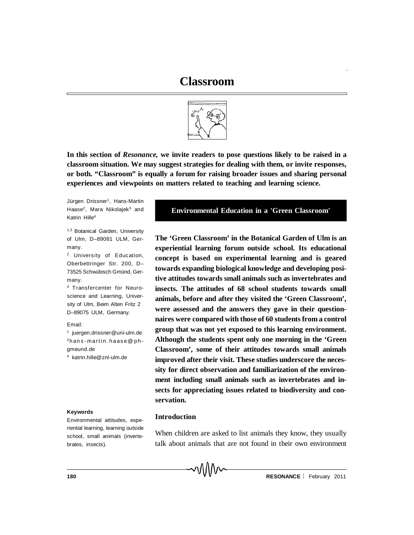

**In this section of** *Resonance,* **we invite readers to pose questions likely to be raised in a classroom situation. We may suggest strategies for dealing with them, or invite responses, or both. "Classroom" is equally a forum for raising broader issues and sharing personal experiences and viewpoints on matters related to teaching and learning science.**

Jürgen Drissner<sup>1</sup>, Hans-Martin Haase<sup>2</sup>, Mara Nikolajek<sup>3</sup> and Katrin Hille<sup>4</sup>

1,3 Botanical Garden, University of Ulm, D–89081 ULM, Germany.

<sup>2</sup> University of Education, Oberbettringer Str. 200, D– 73525 Schwäbisch Gmünd, Germany.

<sup>4</sup> Transfercenter for Neuroscience and Learning, University of Ulm, Beim Alten Fritz 2 D–89075 ULM, Germany.

Email:

 juergen.drissner@uni-ulm.de hans-martin.haase@phgmeund.de katrin.hille@znl-ulm.de

#### **Keywords**

Environmental attitudes, experiential learning, learning outside school, small animals (invertebrates, insects).

## **Environmental Education in a 'Green Classroom'**

**The 'Green Classroom' in the Botanical Garden of Ulm is an experiential learning forum outside school. Its educational concept is based on experimental learning and is geared towards expanding biological knowledge and developing positive attitudes towards small animals such as invertebrates and insects. The attitudes of 68 school students towards small animals, before and after they visited the 'Green Classroom', were assessed and the answers they gave in their questionnaires were compared with those of 60 students from a control group that was not yet exposed to this learning environment. Although the students spent only one morning in the 'Green Classroom', some of their attitudes towards small animals improved after their visit. These studies underscore the necessity for direct observation and familiarization of the environment including small animals such as invertebrates and insects for appreciating issues related to biodiversity and conservation.**

## **Introduction**

When children are asked to list animals they know, they usually talk about animals that are not found in their own environment

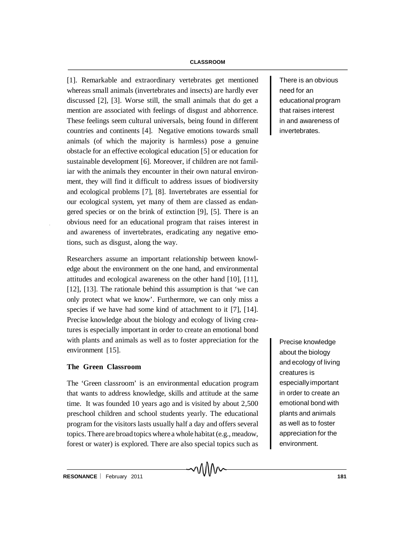[1]. Remarkable and extraordinary vertebrates get mentioned whereas small animals (invertebrates and insects) are hardly ever discussed [2], [3]. Worse still, the small animals that do get a mention are associated with feelings of disgust and abhorrence. These feelings seem cultural universals, being found in different countries and continents [4]. Negative emotions towards small animals (of which the majority is harmless) pose a genuine obstacle for an effective ecological education [5] or education for sustainable development [6]. Moreover, if children are not familiar with the animals they encounter in their own natural environment, they will find it difficult to address issues of biodiversity and ecological problems [7], [8]. Invertebrates are essential for our ecological system, yet many of them are classed as endangered species or on the brink of extinction [9], [5]. There is an obvious need for an educational program that raises interest in and awareness of invertebrates, eradicating any negative emotions, such as disgust, along the way.

Researchers assume an important relationship between knowledge about the environment on the one hand, and environmental attitudes and ecological awareness on the other hand [10], [11], [12], [13]. The rationale behind this assumption is that 'we can only protect what we know'. Furthermore, we can only miss a species if we have had some kind of attachment to it [7], [14]. Precise knowledge about the biology and ecology of living creatures is especially important in order to create an emotional bond with plants and animals as well as to foster appreciation for the environment [15].

## **The Green Classroom**

The 'Green classroom' is an environmental education program that wants to address knowledge, skills and attitude at the same time. It was founded 10 years ago and is visited by about 2,500 preschool children and school students yearly. The educational program for the visitors lasts usually half a day and offers several topics. There are broad topics where a whole habitat (e.g., meadow, forest or water) is explored. There are also special topics such as

MM

There is an obvious need for an educational program that raises interest in and awareness of invertebrates.

Precise knowledge about the biology and ecology of living creatures is especiallyimportant in order to create an emotional bond with plants and animals as well as to foster appreciation for the environment.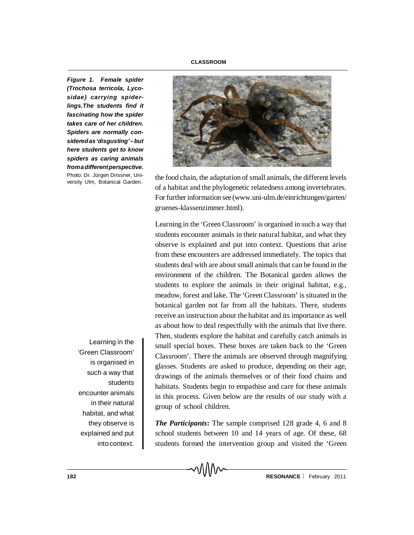*Figure 1. Female spider (Trochosa terricola, Lycosidae) carrying spiderlings.The students find it fascinating how the spider takes care of her children. Spiders are normally consideredas'disgusting'–but here students get to know spiders as caring animals fromadifferentperspective.* Photo: Dr. Jürgen Drissner, University Ulm, Botanical Garden.

> Learning in the 'Green Classroom' is organised in such a way that students encounter animals in their natural habitat, and what they observe is explained and put intocontext.



the food chain, the adaptation of small animals, the different levels of a habitat and the phylogenetic relatedness among invertebrates. For further information see(www.uni-ulm.de/einrichtungen/garten/ gruenes-klassenzimmer.html).

Learning in the 'Green Classroom' is organised in such a way that students encounter animals in their natural habitat, and what they observe is explained and put into context. Questions that arise from these encounters are addressed immediately. The topics that students deal with are about small animals that can be found in the environment of the children. The Botanical garden allows the students to explore the animals in their original habitat, e.g., meadow, forest and lake. The 'Green Classroom' is situated in the botanical garden not far from all the habitats. There, students receive an instruction about the habitat and its importance as well as about how to deal respectfully with the animals that live there. Then, students explore the habitat and carefully catch animals in small special boxes. These boxes are taken back to the 'Green Classroom'. There the animals are observed through magnifying glasses. Students are asked to produce, depending on their age, drawings of the animals themselves or of their food chains and habitats. Students begin to empathise and care for these animals in this process. Given below are the results of our study with a group of school children.

*The Participants***:** The sample comprised 128 grade 4, 6 and 8 school students between 10 and 14 years of age. Of these, 68 students formed the intervention group and visited the 'Green

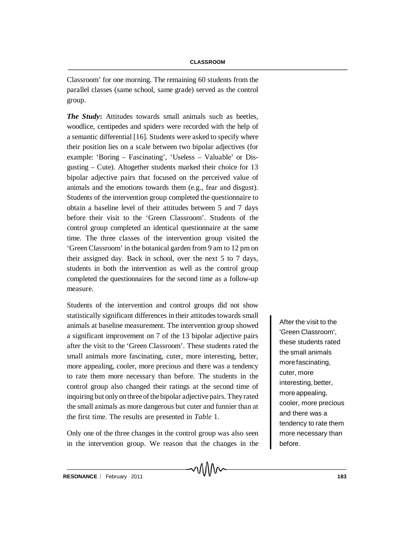Classroom' for one morning. The remaining 60 students from the parallel classes (same school, same grade) served as the control group.

*The Study***:** Attitudes towards small animals such as beetles, woodlice, centipedes and spiders were recorded with the help of a semantic differential [16]. Students were asked to specify where their position lies on a scale between two bipolar adjectives (for example: 'Boring – Fascinating', 'Useless – Valuable' or Disgusting – Cute). Altogether students marked their choice for 13 bipolar adjective pairs that focused on the perceived value of animals and the emotions towards them (e.g., fear and disgust). Students of the intervention group completed the questionnaire to obtain a baseline level of their attitudes between 5 and 7 days before their visit to the 'Green Classroom'. Students of the control group completed an identical questionnaire at the same time. The three classes of the intervention group visited the 'Green Classroom' in the botanical garden from 9 am to 12 pm on their assigned day. Back in school, over the next 5 to 7 days, students in both the intervention as well as the control group completed the questionnaires for the second time as a follow-up measure.

Students of the intervention and control groups did not show statistically significant differences in their attitudes towards small animals at baseline measurement. The intervention group showed a significant improvement on 7 of the 13 bipolar adjective pairs after the visit to the 'Green Classroom'. These students rated the small animals more fascinating, cuter, more interesting, better, more appealing, cooler, more precious and there was a tendency to rate them more necessary than before. The students in the control group also changed their ratings at the second time of inquiring but only on three of the bipolar adjective pairs. They rated the small animals as more dangerous but cuter and funnier than at the first time. The results are presented in *Table* 1.

Only one of the three changes in the control group was also seen in the intervention group. We reason that the changes in the

MMN

After the visit to the 'Green Classroom', these students rated the small animals more fascinating, cuter, more interesting, better, more appealing, cooler, more precious and there was a tendency to rate them more necessary than before.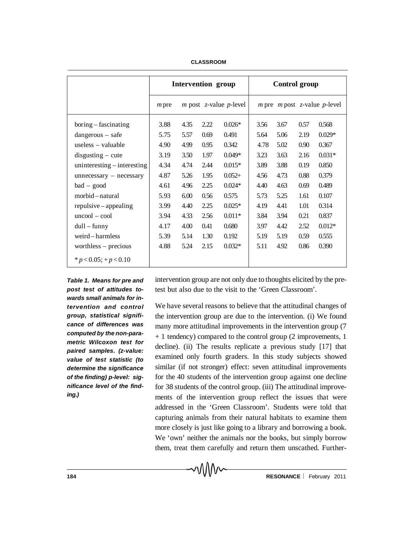|                             | <b>Intervention group</b> |                                               |      |           | Control group                          |      |      |          |
|-----------------------------|---------------------------|-----------------------------------------------|------|-----------|----------------------------------------|------|------|----------|
|                             | $m$ pre                   | <i>m</i> post <i>z</i> -value <i>p</i> -level |      |           | $m$ pre $m$ post $z$ -value $p$ -level |      |      |          |
| $boring-fascinating$        | 3.88                      | 4.35                                          | 2.22 | $0.026*$  | 3.56                                   | 3.67 | 0.57 | 0.568    |
| $dangerous - safe$          | 5.75                      | 5.57                                          | 0.69 | 0.491     | 5.64                                   | 5.06 | 2.19 | $0.029*$ |
| useless $-$ valuable        | 4.90                      | 4.99                                          | 0.95 | 0.342     | 4.78                                   | 5.02 | 0.90 | 0.367    |
| $disgusing - cute$          | 3.19                      | 3.50                                          | 1.97 | $0.049*$  | 3.23                                   | 3.63 | 2.16 | $0.031*$ |
| uninteresting – interesting | 4.34                      | 4.74                                          | 2.44 | $0.015*$  | 3.89                                   | 3.88 | 0.19 | 0.850    |
| $un necessary - necessary$  | 4.87                      | 5.26                                          | 1.95 | $0.052 +$ | 4.56                                   | 4.73 | 0.88 | 0.379    |
| $bad - good$                | 4.61                      | 4.96                                          | 2.25 | $0.024*$  | 4.40                                   | 4.63 | 0.69 | 0.489    |
| morbid – natural            | 5.93                      | 6.00                                          | 0.56 | 0.575     | 5.73                                   | 5.25 | 1.61 | 0.107    |
| $repulsive - appealing$     | 3.99                      | 4.40                                          | 2.25 | $0.025*$  | 4.19                                   | 4.41 | 1.01 | 0.314    |
| $uncool - cool$             | 3.94                      | 4.33                                          | 2.56 | $0.011*$  | 3.84                                   | 3.94 | 0.21 | 0.837    |
| $dull - funny$              | 4.17                      | 4.00                                          | 0.41 | 0.680     | 3.97                                   | 4.42 | 2.52 | $0.012*$ |
| weird-harmless              | 5.39                      | 5.14                                          | 1.30 | 0.192     | 5.19                                   | 5.19 | 0.59 | 0.555    |
| worthless $-$ precious      | 4.88                      | 5.24                                          | 2.15 | $0.032*$  | 5.11                                   | 4.92 | 0.86 | 0.390    |
| * $p < 0.05$ ; + $p < 0.10$ |                           |                                               |      |           |                                        |      |      |          |

**CLASSROOM**

*Table 1. Means for pre and post test of attitudes towards small animals for intervention and control group, statistical significance of differences was computed by the non-parametric Wilcoxon test for paired samples. (z-value: value of test statistic (to determine the significance of the finding) p-level: significance level of the finding.)*

intervention group are not only due to thoughts elicited by the pretest but also due to the visit to the 'Green Classroom'.

We have several reasons to believe that the attitudinal changes of the intervention group are due to the intervention. (i) We found many more attitudinal improvements in the intervention group (7 + 1 tendency) compared to the control group (2 improvements, 1 decline). (ii) The results replicate a previous study [17] that examined only fourth graders. In this study subjects showed similar (if not stronger) effect: seven attitudinal improvements for the 40 students of the intervention group against one decline for 38 students of the control group. (iii) The attitudinal improvements of the intervention group reflect the issues that were addressed in the 'Green Classroom'. Students were told that capturing animals from their natural habitats to examine them more closely is just like going to a library and borrowing a book. We 'own' neither the animals nor the books, but simply borrow them, treat them carefully and return them unscathed. Further-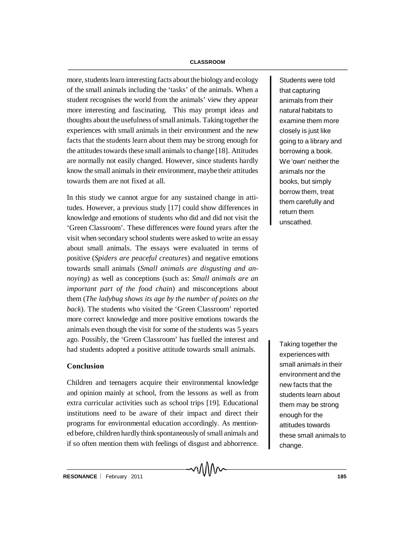more, students learn interesting facts about the biology and ecology of the small animals including the 'tasks' of the animals. When a student recognises the world from the animals' view they appear more interesting and fascinating. This may prompt ideas and thoughts about the usefulness of small animals. Taking together the experiences with small animals in their environment and the new facts that the students learn about them may be strong enough for the attitudes towards these small animals to change [18]. Attitudes are normally not easily changed. However, since students hardly know the small animals in their environment, maybe their attitudes towards them are not fixed at all.

In this study we cannot argue for any sustained change in attitudes. However, a previous study [17] could show differences in knowledge and emotions of students who did and did not visit the 'Green Classroom'. These differences were found years after the visit when secondary school students were asked to write an essay about small animals. The essays were evaluated in terms of positive (*Spiders are peaceful creatures*) and negative emotions towards small animals (*Small animals are disgusting and annoying*) as well as conceptions (such as: *Small animals are an important part of the food chain*) and misconceptions about them (*The ladybug shows its age by the number of points on the back*). The students who visited the 'Green Classroom' reported more correct knowledge and more positive emotions towards the animals even though the visit for some of the students was 5 years ago. Possibly, the 'Green Classroom' has fuelled the interest and had students adopted a positive attitude towards small animals.

## **Conclusion**

Children and teenagers acquire their environmental knowledge and opinion mainly at school, from the lessons as well as from extra curricular activities such as school trips [19]. Educational institutions need to be aware of their impact and direct their programs for environmental education accordingly. As mentioned before, children hardly think spontaneously of small animals and if so often mention them with feelings of disgust and abhorrence.

៱៱៱៱

Students were told that capturing animals from their natural habitats to examine them more closely is just like going to a library and borrowing a book. We 'own' neither the animals nor the books, but simply borrow them, treat them carefully and return them unscathed.

Taking together the experiences with small animals in their environment and the new facts that the students learn about them may be strong enough for the attitudes towards these small animals to change.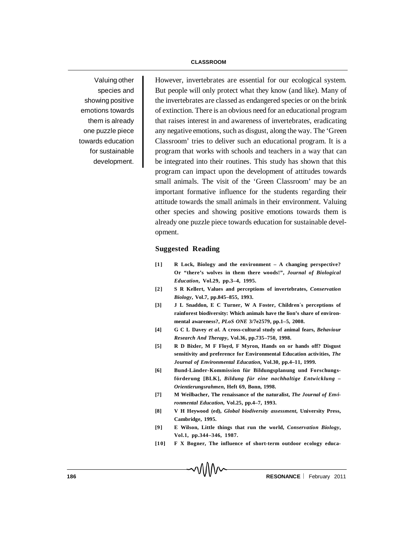Valuing other species and showing positive emotions towards them is already one puzzle piece towards education for sustainable development.

However, invertebrates are essential for our ecological system. But people will only protect what they know (and like). Many of the invertebrates are classed as endangered species or on the brink of extinction. There is an obvious need for an educational program that raises interest in and awareness of invertebrates, eradicating any negative emotions, such as disgust, along the way. The 'Green Classroom' tries to deliver such an educational program. It is a program that works with schools and teachers in a way that can be integrated into their routines. This study has shown that this program can impact upon the development of attitudes towards small animals. The visit of the 'Green Classroom' may be an important formative influence for the students regarding their attitude towards the small animals in their environment. Valuing other species and showing positive emotions towards them is already one puzzle piece towards education for sustainable development.

# **Suggested Reading**

- **[1] R Lock, Biology and the environment A changing perspective? Or "there's wolves in them there woods!",** *Journal of Biological Education***, Vol.29, pp.3–4, 1995.**
- **[2] S R Kellert, Values and perceptions of invertebrates,** *Conservation Biology***, Vol.7, pp.845–855, 1993.**
- **[3] J L Snaddon, E C Turner, W A Foster, Children´s perceptions of rainforest biodiversity: Which animals have the lion's share of environmental awareness?,** *PLoS ONE* **3/7e2579, pp.1–5, 2008.**
- **[4] G C L Davey** *et al***. A cross-cultural study of animal fears,** *Behaviour Research And Therapy***, Vol.36, pp.735–750, 1998.**
- **[5] R D Bixler, M F Floyd, F Myron, Hands on or hands off? Disgust sensitivity and preference for Environmental Education activities,** *The Journal of Environmental Education***, Vol.30, pp.4–11, 1999.**
- **[6] Bund-Länder-Kommission für Bildungsplanung und Forschungsförderung [BLK],** *Bildung für eine nachhaltige Entwicklung – Orientierungsrahmen***, Heft 69, Bonn, 1998.**
- **[7] M Weilbacher, The renaissance of the naturalist,** *The Journal of Environmental Education***, Vol.25, pp.4–7, 1993.**
- **[8] V H Heywood (ed),** *Global biodiversity assessment***, University Press, Cambridge, 1995.**
- **[9] E Wilson, Little things that run the world,** *Conservation Biology***, Vol.1, pp.344–346, 1987.**
- **[10] F X Bogner, The influence of short-term outdoor ecology educa-**